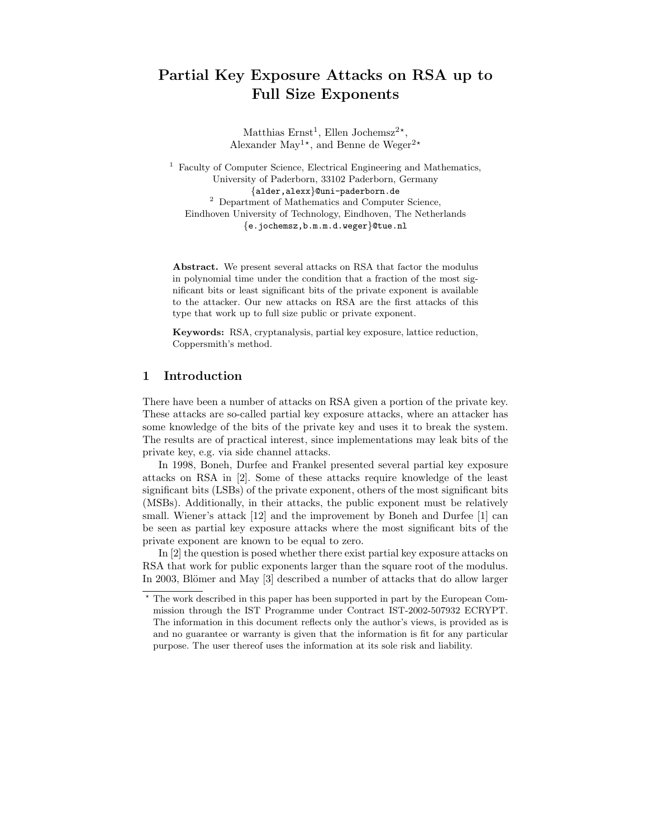# Partial Key Exposure Attacks on RSA up to Full Size Exponents

Matthias  $Ernst<sup>1</sup>$ , Ellen Jochemsz<sup>2\*</sup>, Alexander May<sup>1\*</sup>, and Benne de Weger<sup>2\*</sup>

<sup>1</sup> Faculty of Computer Science, Electrical Engineering and Mathematics, University of Paderborn, 33102 Paderborn, Germany {alder,alexx}@uni-paderborn.de <sup>2</sup> Department of Mathematics and Computer Science, Eindhoven University of Technology, Eindhoven, The Netherlands {e.jochemsz,b.m.m.d.weger}@tue.nl

Abstract. We present several attacks on RSA that factor the modulus in polynomial time under the condition that a fraction of the most significant bits or least significant bits of the private exponent is available to the attacker. Our new attacks on RSA are the first attacks of this type that work up to full size public or private exponent.

Keywords: RSA, cryptanalysis, partial key exposure, lattice reduction, Coppersmith's method.

## 1 Introduction

There have been a number of attacks on RSA given a portion of the private key. These attacks are so-called partial key exposure attacks, where an attacker has some knowledge of the bits of the private key and uses it to break the system. The results are of practical interest, since implementations may leak bits of the private key, e.g. via side channel attacks.

In 1998, Boneh, Durfee and Frankel presented several partial key exposure attacks on RSA in [2]. Some of these attacks require knowledge of the least significant bits (LSBs) of the private exponent, others of the most significant bits (MSBs). Additionally, in their attacks, the public exponent must be relatively small. Wiener's attack [12] and the improvement by Boneh and Durfee [1] can be seen as partial key exposure attacks where the most significant bits of the private exponent are known to be equal to zero.

In [2] the question is posed whether there exist partial key exposure attacks on RSA that work for public exponents larger than the square root of the modulus. In 2003, Blömer and May [3] described a number of attacks that do allow larger

<sup>?</sup> The work described in this paper has been supported in part by the European Commission through the IST Programme under Contract IST-2002-507932 ECRYPT. The information in this document reflects only the author's views, is provided as is and no guarantee or warranty is given that the information is fit for any particular purpose. The user thereof uses the information at its sole risk and liability.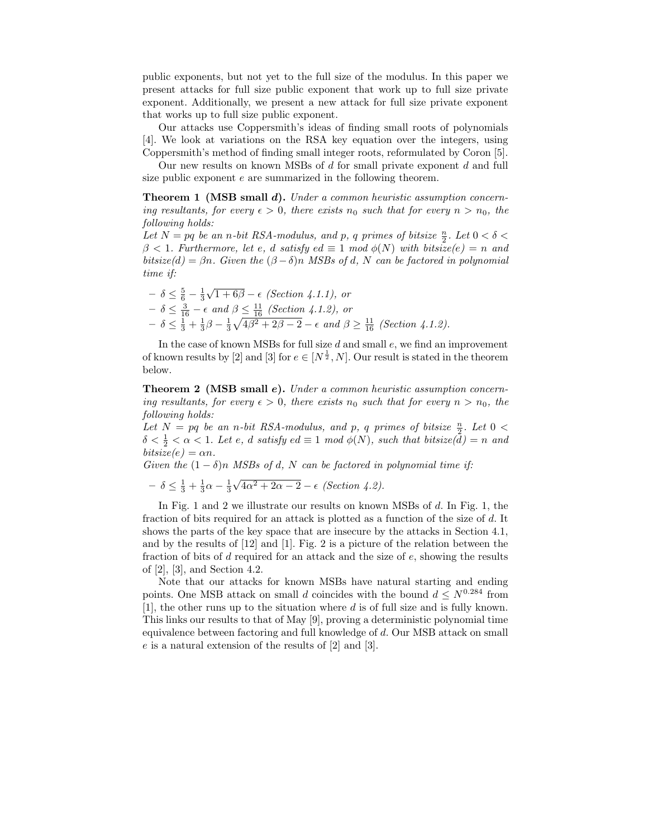public exponents, but not yet to the full size of the modulus. In this paper we present attacks for full size public exponent that work up to full size private exponent. Additionally, we present a new attack for full size private exponent that works up to full size public exponent.

Our attacks use Coppersmith's ideas of finding small roots of polynomials [4]. We look at variations on the RSA key equation over the integers, using Coppersmith's method of finding small integer roots, reformulated by Coron [5].

Our new results on known MSBs of d for small private exponent d and full size public exponent e are summarized in the following theorem.

Theorem 1 (MSB small d). Under a common heuristic assumption concerning resultants, for every  $\epsilon > 0$ , there exists  $n_0$  such that for every  $n > n_0$ , the following holds:

Let  $N = pq$  be an n-bit RSA-modulus, and p, q primes of bitsize  $\frac{n}{2}$ . Let  $0 < \delta <$  $\beta$  < 1. Furthermore, let e, d satisfy ed  $\equiv$  1 mod  $\phi(N)$  with bitsize(e) = n and bitsize(d) =  $\beta n$ . Given the  $(\beta - \delta)n$  MSBs of d, N can be factored in polynomial time if:

$$
-\delta \leq \frac{5}{6} - \frac{1}{3}\sqrt{1+6\beta} - \epsilon
$$
 (Section 4.1.1), or  
\n
$$
-\delta \leq \frac{3}{16} - \epsilon
$$
 and  $\beta \leq \frac{11}{16}$  (Section 4.1.2), or  
\n
$$
-\delta \leq \frac{1}{3} + \frac{1}{3}\beta - \frac{1}{3}\sqrt{4\beta^2 + 2\beta - 2} - \epsilon
$$
 and  $\beta \geq \frac{11}{16}$  (Section 4.1.2).

In the case of known MSBs for full size  $d$  and small  $e$ , we find an improvement of known results by [2] and [3] for  $e \in [N^{\frac{1}{2}}, N]$ . Our result is stated in the theorem below.

Theorem 2 (MSB small e). Under a common heuristic assumption concerning resultants, for every  $\epsilon > 0$ , there exists  $n_0$  such that for every  $n > n_0$ , the following holds:

Let  $N = pq$  be an n-bit RSA-modulus, and p, q primes of bitsize  $\frac{n}{2}$ . Let  $0 <$  $\delta < \frac{1}{2} < \alpha < 1$ . Let e, d satisfy  $ed \equiv 1 \mod \phi(N)$ , such that bitsize( $\bar{d}$ ) = n and  $bitsize(e) = \alpha n.$ 

Given the  $(1 - \delta)n$  MSBs of d, N can be factored in polynomial time if:

$$
- \delta \le \frac{1}{3} + \frac{1}{3}\alpha - \frac{1}{3}\sqrt{4\alpha^2 + 2\alpha - 2} - \epsilon
$$
 (Section 4.2).

In Fig. 1 and 2 we illustrate our results on known MSBs of d. In Fig. 1, the fraction of bits required for an attack is plotted as a function of the size of d. It shows the parts of the key space that are insecure by the attacks in Section 4.1, and by the results of [12] and [1]. Fig. 2 is a picture of the relation between the fraction of bits of  $d$  required for an attack and the size of  $e$ , showing the results of [2], [3], and Section 4.2.

Note that our attacks for known MSBs have natural starting and ending points. One MSB attack on small d coincides with the bound  $d \leq N^{0.284}$  from [1], the other runs up to the situation where d is of full size and is fully known. This links our results to that of May [9], proving a deterministic polynomial time equivalence between factoring and full knowledge of d. Our MSB attack on small e is a natural extension of the results of [2] and [3].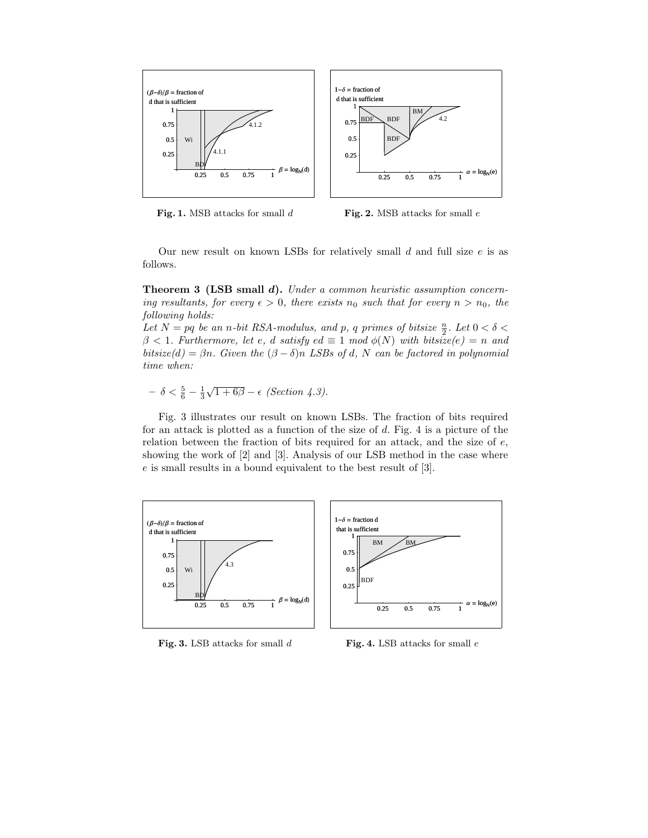

Fig. 1. MSB attacks for small  $d$ 

Fig. 2. MSB attacks for small e

Our new result on known LSBs for relatively small  $d$  and full size  $e$  is as follows.

Theorem 3 (LSB small d). Under a common heuristic assumption concerning resultants, for every  $\epsilon > 0$ , there exists  $n_0$  such that for every  $n > n_0$ , the following holds:

Let  $N = pq$  be an n-bit RSA-modulus, and p, q primes of bitsize  $\frac{n}{2}$ . Let  $0 < \delta <$  $\beta$  < 1. Furthermore, let e, d satisfy ed  $\equiv$  1 mod  $\phi(N)$  with bitsize(e) = n and bitsize(d) =  $\beta n$ . Given the  $(\beta - \delta)n$  LSBs of d, N can be factored in polynomial time when:

 $-\delta < \frac{5}{6} - \frac{1}{3}\sqrt{1+6\beta} - \epsilon$  (Section 4.3).

Fig. 3 illustrates our result on known LSBs. The fraction of bits required for an attack is plotted as a function of the size of d. Fig. 4 is a picture of the relation between the fraction of bits required for an attack, and the size of e, showing the work of [2] and [3]. Analysis of our LSB method in the case where e is small results in a bound equivalent to the best result of [3].



Fig. 3. LSB attacks for small  $d$ 

Fig. 4. LSB attacks for small e

 $\alpha = \log_{N}(e)$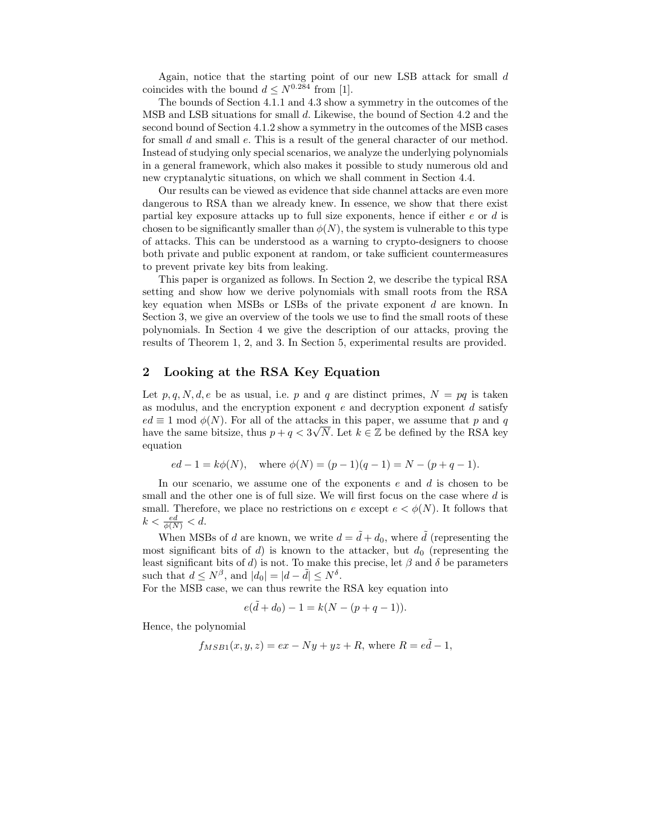Again, notice that the starting point of our new LSB attack for small d coincides with the bound  $d \leq N^{0.284}$  from [1].

The bounds of Section 4.1.1 and 4.3 show a symmetry in the outcomes of the MSB and LSB situations for small d. Likewise, the bound of Section 4.2 and the second bound of Section 4.1.2 show a symmetry in the outcomes of the MSB cases for small d and small e. This is a result of the general character of our method. Instead of studying only special scenarios, we analyze the underlying polynomials in a general framework, which also makes it possible to study numerous old and new cryptanalytic situations, on which we shall comment in Section 4.4.

Our results can be viewed as evidence that side channel attacks are even more dangerous to RSA than we already knew. In essence, we show that there exist partial key exposure attacks up to full size exponents, hence if either  $e$  or  $d$  is chosen to be significantly smaller than  $\phi(N)$ , the system is vulnerable to this type of attacks. This can be understood as a warning to crypto-designers to choose both private and public exponent at random, or take sufficient countermeasures to prevent private key bits from leaking.

This paper is organized as follows. In Section 2, we describe the typical RSA setting and show how we derive polynomials with small roots from the RSA key equation when MSBs or LSBs of the private exponent d are known. In Section 3, we give an overview of the tools we use to find the small roots of these polynomials. In Section 4 we give the description of our attacks, proving the results of Theorem 1, 2, and 3. In Section 5, experimental results are provided.

## 2 Looking at the RSA Key Equation

Let p, q, N, d, e be as usual, i.e. p and q are distinct primes,  $N = pq$  is taken as modulus, and the encryption exponent  $e$  and decryption exponent  $d$  satisfy  $ed \equiv 1 \mod \phi(N)$ . For all of the attacks in this paper, we assume that p and q have the same bitsize, thus  $p + q < 3\sqrt{N}$ . Let  $k \in \mathbb{Z}$  be defined by the RSA key equation

$$
ed - 1 = k\phi(N)
$$
, where  $\phi(N) = (p - 1)(q - 1) = N - (p + q - 1)$ .

In our scenario, we assume one of the exponents  $e$  and  $d$  is chosen to be small and the other one is of full size. We will first focus on the case where  $d$  is small. Therefore, we place no restrictions on e except  $e < \phi(N)$ . It follows that  $k < \frac{ed}{\phi(N)} < d$ .

When MSBs of d are known, we write  $d = \tilde{d} + d_0$ , where  $\tilde{d}$  (representing the most significant bits of d) is known to the attacker, but  $d_0$  (representing the least significant bits of d) is not. To make this precise, let  $\beta$  and  $\delta$  be parameters such that  $d \leq N^{\beta}$ , and  $|d_0| = |d - \tilde{d}| \leq N^{\delta}$ .

For the MSB case, we can thus rewrite the RSA key equation into

$$
e(\tilde{d} + d_0) - 1 = k(N - (p + q - 1)).
$$

Hence, the polynomial

$$
f_{MSB1}(x, y, z) = ex - Ny + yz + R
$$
, where  $R = e\tilde{d} - 1$ ,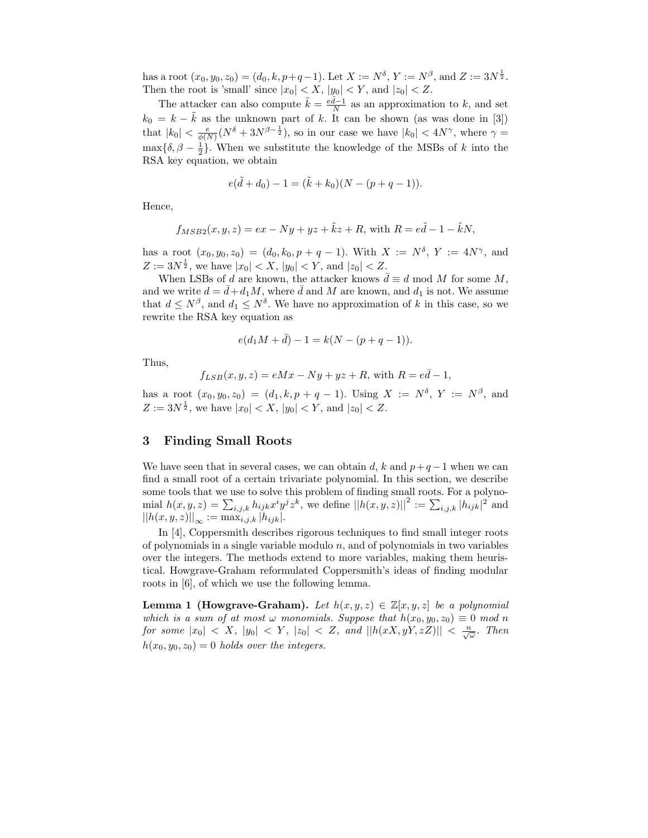has a root  $(x_0, y_0, z_0) = (d_0, k, p+q-1)$ . Let  $X := N^{\delta}, Y := N^{\beta},$  and  $Z := 3N^{\frac{1}{2}}$ . Then the root is 'small' since  $|x_0| < X$ ,  $|y_0| < Y$ , and  $|z_0| < Z$ .

The attacker can also compute  $\tilde{k} = \frac{e\tilde{d}-1}{N}$  as an approximation to k, and set  $k_0 = k - \tilde{k}$  as the unknown part of k. It can be shown (as was done in [3]) that  $|k_0| < \frac{e}{\phi(N)}(N^{\delta} + 3N^{\beta - \frac{1}{2}})$ , so in our case we have  $|k_0| < 4N^{\gamma}$ , where  $\gamma =$  $\max{\delta, \beta - \frac{1}{2}}$ . When we substitute the knowledge of the MSBs of k into the RSA key equation, we obtain

$$
e(\tilde{d} + d_0) - 1 = (\tilde{k} + k_0)(N - (p + q - 1)).
$$

Hence,

$$
f_{MSB2}(x, y, z) = ex - Ny + yz + \tilde{k}z + R
$$
, with  $R = e\tilde{d} - 1 - \tilde{k}N$ ,

has a root  $(x_0, y_0, z_0) = (d_0, k_0, p + q - 1)$ . With  $X := N^{\delta}$ ,  $Y := 4N^{\gamma}$ , and  $Z := 3N^{\frac{1}{2}}$ , we have  $|x_0| < X$ ,  $|y_0| < Y$ , and  $|z_0| < Z$ .

When LSBs of d are known, the attacker knows  $\bar{d} \equiv d \mod M$  for some M, and we write  $d = \bar{d} + d_1 M$ , where  $\bar{d}$  and M are known, and  $d_1$  is not. We assume that  $d \leq N^{\beta}$ , and  $d_1 \leq N^{\delta}$ . We have no approximation of k in this case, so we rewrite the RSA key equation as

$$
e(d_1M + \bar{d}) - 1 = k(N - (p + q - 1)).
$$

Thus,

$$
f_{LSB}(x, y, z) = eMx - Ny + yz + R
$$
, with  $R = e\bar{d} - 1$ ,

has a root  $(x_0, y_0, z_0) = (d_1, k, p + q - 1)$ . Using  $X := N^{\delta}$ ,  $Y := N^{\beta}$ , and  $Z := 3N^{\frac{1}{2}}$ , we have  $|x_0| < X$ ,  $|y_0| < Y$ , and  $|z_0| < Z$ .

### 3 Finding Small Roots

We have seen that in several cases, we can obtain d, k and  $p+q-1$  when we can find a small root of a certain trivariate polynomial. In this section, we describe some tools that we use to solve this problem of finding small roots. For a polynomial  $h(x, y, z) = \sum_{i,j,k} h_{ijk} x^i y^j z^k$ , we define  $||h(x, y, z)||^2 := \sum_{i,j,k} |h_{ijk}|^2$  and  $||h(x, y, z)||_{\infty} := \max_{i, j, k} |h_{ijk}|.$ 

In [4], Coppersmith describes rigorous techniques to find small integer roots of polynomials in a single variable modulo  $n$ , and of polynomials in two variables over the integers. The methods extend to more variables, making them heuristical. Howgrave-Graham reformulated Coppersmith's ideas of finding modular roots in [6], of which we use the following lemma.

**Lemma 1 (Howgrave-Graham).** Let  $h(x, y, z) \in \mathbb{Z}[x, y, z]$  be a polynomial which is a sum of at most  $\omega$  monomials. Suppose that  $h(x_0, y_0, z_0) \equiv 0 \mod n$ for some  $|x_0| < X$ ,  $|y_0| < Y$ ,  $|z_0| < Z$ , and  $||h(xX, yY, zZ)|| < \frac{n}{\sqrt{\omega}}$ . Then  $h(x_0, y_0, z_0) = 0$  holds over the integers.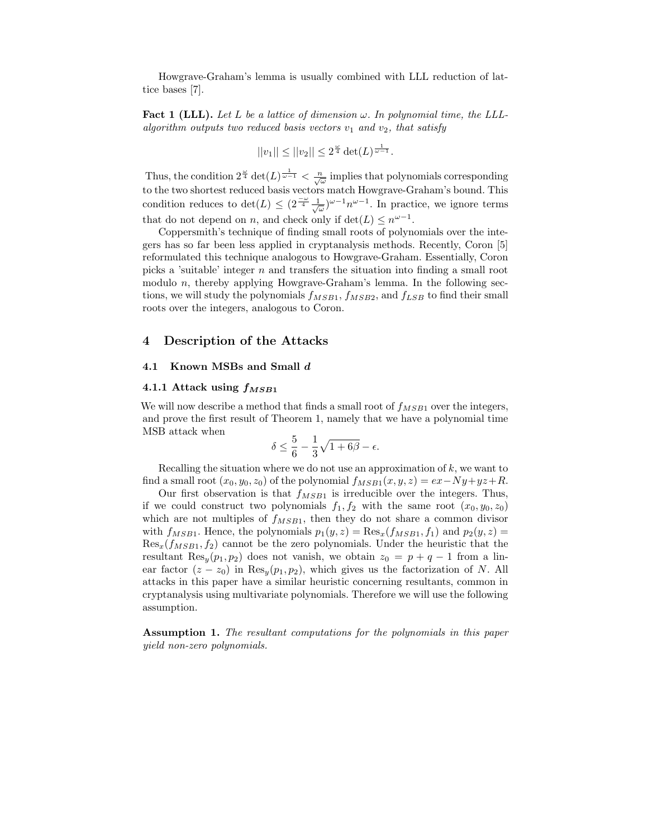Howgrave-Graham's lemma is usually combined with LLL reduction of lattice bases [7].

Fact 1 (LLL). Let L be a lattice of dimension  $\omega$ . In polynomial time, the LLLalgorithm outputs two reduced basis vectors  $v_1$  and  $v_2$ , that satisfy

$$
||v_1|| \leq ||v_2|| \leq 2^{\frac{\omega}{4}} \det(L)^{\frac{1}{\omega - 1}}.
$$

Thus, the condition  $2^{\frac{\omega}{4}} \det(L)^{\frac{1}{\omega-1}} < \frac{n}{\sqrt{\omega}}$  implies that polynomials corresponding to the two shortest reduced basis vectors match Howgrave-Graham's bound. This condition reduces to  $\det(L) \leq (2^{\frac{-\omega}{4}} \frac{1}{\sqrt{\omega}})^{\omega-1} n^{\omega-1}$ . In practice, we ignore terms that do not depend on *n*, and check only if  $\det(L) \leq n^{\omega - 1}$ .

Coppersmith's technique of finding small roots of polynomials over the integers has so far been less applied in cryptanalysis methods. Recently, Coron [5] reformulated this technique analogous to Howgrave-Graham. Essentially, Coron picks a 'suitable' integer n and transfers the situation into finding a small root modulo  $n$ , thereby applying Howgrave-Graham's lemma. In the following sections, we will study the polynomials  $f_{MSB1}$ ,  $f_{MSB2}$ , and  $f_{LSB}$  to find their small roots over the integers, analogous to Coron.

#### 4 Description of the Attacks

#### 4.1 Known MSBs and Small d

#### 4.1.1 Attack using  $f_{MSB1}$

We will now describe a method that finds a small root of  $f_{MSB1}$  over the integers, and prove the first result of Theorem 1, namely that we have a polynomial time MSB attack when

$$
\delta \le \frac{5}{6} - \frac{1}{3}\sqrt{1+6\beta} - \epsilon.
$$

Recalling the situation where we do not use an approximation of  $k$ , we want to find a small root  $(x_0, y_0, z_0)$  of the polynomial  $f_{MSB1}(x, y, z) = ex - Ny + yz + R$ .

Our first observation is that  $f_{MSB1}$  is irreducible over the integers. Thus, if we could construct two polynomials  $f_1, f_2$  with the same root  $(x_0, y_0, z_0)$ which are not multiples of  $f_{MSB1}$ , then they do not share a common divisor with  $f_{MSB1}$ . Hence, the polynomials  $p_1(y, z) = \text{Res}_x(f_{MSB1}, f_1)$  and  $p_2(y, z) =$  $\text{Res}_x(f_{MSB1}, f_2)$  cannot be the zero polynomials. Under the heuristic that the resultant Res<sub>y</sub> $(p_1, p_2)$  does not vanish, we obtain  $z_0 = p + q - 1$  from a linear factor  $(z - z_0)$  in Res<sub>y</sub> $(p_1, p_2)$ , which gives us the factorization of N. All attacks in this paper have a similar heuristic concerning resultants, common in cryptanalysis using multivariate polynomials. Therefore we will use the following assumption.

Assumption 1. The resultant computations for the polynomials in this paper yield non-zero polynomials.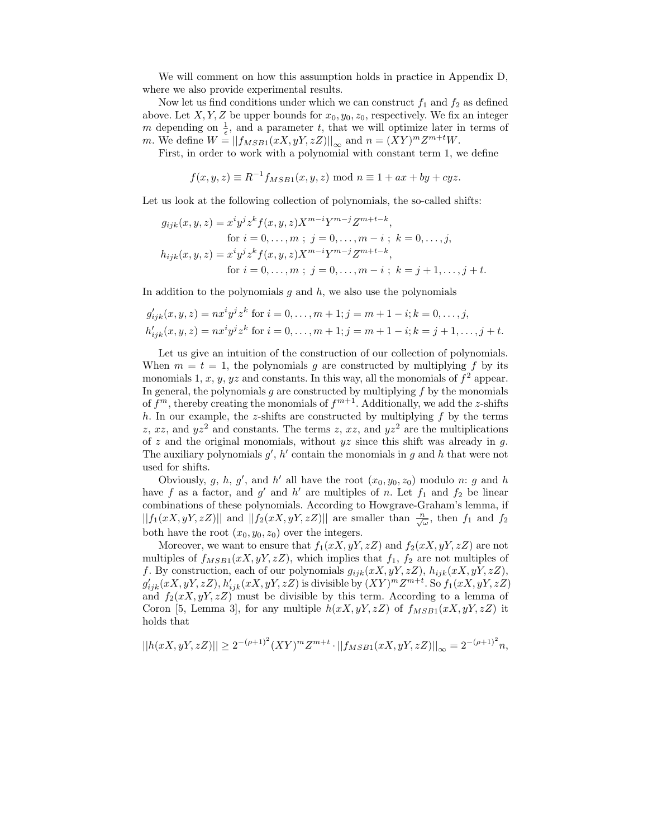We will comment on how this assumption holds in practice in Appendix D, where we also provide experimental results.

Now let us find conditions under which we can construct  $f_1$  and  $f_2$  as defined above. Let X, Y, Z be upper bounds for  $x_0, y_0, z_0$ , respectively. We fix an integer m depending on  $\frac{1}{\epsilon}$ , and a parameter t, that we will optimize later in terms of m. We define  $W = ||f_{MSB1}(xX, yY, zZ)||_{\infty}$  and  $n = (XY)^m Z^{m+t} W$ .

First, in order to work with a polynomial with constant term 1, we define

$$
f(x, y, z) \equiv R^{-1} f_{MSB1}(x, y, z) \bmod n \equiv 1 + ax + by + cyz.
$$

Let us look at the following collection of polynomials, the so-called shifts:

$$
g_{ijk}(x, y, z) = x^{i}y^{j}z^{k}f(x, y, z)X^{m-i}Y^{m-j}Z^{m+t-k},
$$
  
for  $i = 0, ..., m ; j = 0, ..., m-i ; k = 0, ..., j,$   

$$
h_{ijk}(x, y, z) = x^{i}y^{j}z^{k}f(x, y, z)X^{m-i}Y^{m-j}Z^{m+t-k},
$$
  
for  $i = 0, ..., m ; j = 0, ..., m-i ; k = j+1, ..., j+t.$ 

In addition to the polynomials  $g$  and  $h$ , we also use the polynomials

$$
g'_{ijk}(x, y, z) = nx^i y^j z^k \text{ for } i = 0, ..., m+1; j = m+1-i; k = 0, ..., j,
$$
  

$$
h'_{ijk}(x, y, z) = nx^i y^j z^k \text{ for } i = 0, ..., m+1; j = m+1-i; k = j+1, ..., j+t.
$$

Let us give an intuition of the construction of our collection of polynomials. When  $m = t = 1$ , the polynomials q are constructed by multiplying f by its monomials 1, x, y, yz and constants. In this way, all the monomials of  $f^2$  appear. In general, the polynomials  $q$  are constructed by multiplying  $f$  by the monomials of  $f^m$ , thereby creating the monomials of  $f^{m+1}$ . Additionally, we add the z-shifts h. In our example, the z-shifts are constructed by multiplying  $f$  by the terms z, xz, and  $yz^2$  and constants. The terms z, xz, and  $yz^2$  are the multiplications of z and the original monomials, without  $yz$  since this shift was already in  $g$ . The auxiliary polynomials  $g'$ ,  $h'$  contain the monomials in  $g$  and  $h$  that were not used for shifts.

Obviously, g, h, g', and h' all have the root  $(x_0, y_0, z_0)$  modulo n: g and h have f as a factor, and  $g'$  and  $h'$  are multiples of n. Let  $f_1$  and  $f_2$  be linear combinations of these polynomials. According to Howgrave-Graham's lemma, if  $||f_1(xX, yY, zZ)||$  and  $||f_2(xX, yY, zZ)||$  are smaller than  $\frac{n}{\sqrt{\omega}}$ , then  $f_1$  and  $f_2$ both have the root  $(x_0, y_0, z_0)$  over the integers.

Moreover, we want to ensure that  $f_1(xX, yY, zZ)$  and  $f_2(xX, yY, zZ)$  are not multiples of  $f_{MSB1}(xX, yY, zZ)$ , which implies that  $f_1$ ,  $f_2$  are not multiples of f. By construction, each of our polynomials  $g_{ijk}(xX, yY, zZ), h_{ijk}(xX, yY, zZ),$  $g'_{ijk}(xX, yY, zZ), h'_{ijk}(xX, yY, zZ)$  is divisible by  $(XY)^m Z^{m+t}$ . So  $f_1(xX, yY, zZ)$ and  $f_2(xX, yY, zZ)$  must be divisible by this term. According to a lemma of Coron [5, Lemma 3], for any multiple  $h(xX, yY, zZ)$  of  $f_{MSB1}(xX, yY, zZ)$  it holds that

$$
||h(xX, yY, zZ)|| \ge 2^{-(\rho+1)^2} (XY)^m Z^{m+t} \cdot ||f_{MSB1}(xX, yY, zZ)||_{\infty} = 2^{-(\rho+1)^2} n,
$$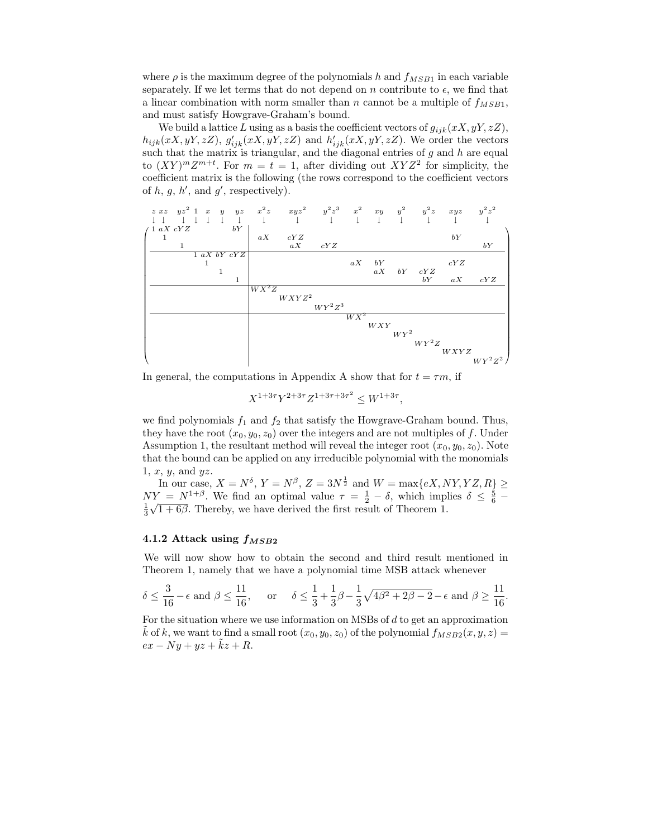where  $\rho$  is the maximum degree of the polynomials h and  $f_{MSB1}$  in each variable separately. If we let terms that do not depend on n contribute to  $\epsilon$ , we find that a linear combination with norm smaller than n cannot be a multiple of  $f_{MSB1}$ , and must satisfy Howgrave-Graham's bound.

We build a lattice L using as a basis the coefficient vectors of  $g_{ijk}(xX, yY, zZ)$ ,  $h_{ijk}(xX, yY, zZ), g'_{ijk}(xX, yY, zZ)$  and  $h'_{ijk}(xX, yY, zZ)$ . We order the vectors such that the matrix is triangular, and the diagonal entries of  $g$  and  $h$  are equal to  $(XY)^m Z^{m+t}$ . For  $m = t = 1$ , after dividing out  $XYZ^2$  for simplicity, the coefficient matrix is the following (the rows correspond to the coefficient vectors of  $h, g, h',$  and  $g'$ , respectively).



In general, the computations in Appendix A show that for  $t = \tau m$ , if

$$
X^{1+3\tau}Y^{2+3\tau}Z^{1+3\tau+3\tau^2} \le W^{1+3\tau},
$$

we find polynomials  $f_1$  and  $f_2$  that satisfy the Howgrave-Graham bound. Thus, they have the root  $(x_0, y_0, z_0)$  over the integers and are not multiples of f. Under Assumption 1, the resultant method will reveal the integer root  $(x_0, y_0, z_0)$ . Note that the bound can be applied on any irreducible polynomial with the monomials  $1, x, y$ , and  $yz$ .

In our case,  $X = N^{\delta}$ ,  $Y = N^{\beta}$ ,  $Z = 3N^{\frac{1}{2}}$  and  $W = \max\{eX, NY, YZ, R\} \ge$  $NY = N^{1+\beta}$ . We find an optimal value  $\tau = \frac{1}{2} - \delta$ , which implies  $\delta \leq \frac{5}{6} - \frac{1}{2}$  $\frac{1}{3}\sqrt{1+6\beta}$ . Thereby, we have derived the first result of Theorem 1.

#### 4.1.2 Attack using  $f_{MSB2}$

We will now show how to obtain the second and third result mentioned in Theorem 1, namely that we have a polynomial time MSB attack whenever

$$
\delta \leq \frac{3}{16} - \epsilon \text{ and } \beta \leq \frac{11}{16}, \quad \text{ or } \quad \delta \leq \frac{1}{3} + \frac{1}{3}\beta - \frac{1}{3}\sqrt{4\beta^2 + 2\beta - 2} - \epsilon \text{ and } \beta \geq \frac{11}{16}.
$$

For the situation where we use information on MSBs of d to get an approximation k of k, we want to find a small root  $(x_0, y_0, z_0)$  of the polynomial  $f_{MSB2}(x, y, z) =$  $ex - Ny + yz + \tilde{k}z + R.$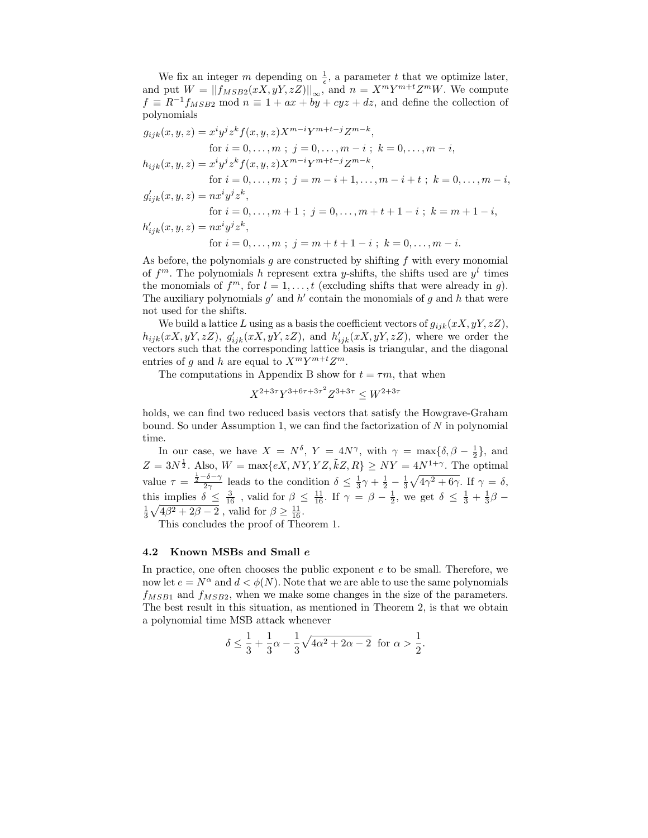We fix an integer m depending on  $\frac{1}{\epsilon}$ , a parameter t that we optimize later, and put  $W = ||f_{MSB2}(xX, yY, zZ)||_{\infty}$ , and  $n = X^m Y^{m+t} Z^m W$ . We compute  $f \equiv R^{-1}f_{MSB2}$  mod  $n \equiv 1 + ax + by + cyz + dz$ , and define the collection of polynomials

$$
g_{ijk}(x, y, z) = x^{i}y^{j}z^{k}f(x, y, z)X^{m-i}Y^{m+t-j}Z^{m-k},
$$
  
\nfor  $i = 0, ..., m$ ;  $j = 0, ..., m-i$ ;  $k = 0, ..., m-i$ ,  
\n
$$
h_{ijk}(x, y, z) = x^{i}y^{j}z^{k}f(x, y, z)X^{m-i}Y^{m+t-j}Z^{m-k},
$$
  
\nfor  $i = 0, ..., m$ ;  $j = m - i + 1, ..., m - i + t$ ;  $k = 0, ..., m - i$ ,  
\n
$$
g'_{ijk}(x, y, z) = nx^{i}y^{j}z^{k},
$$
  
\nfor  $i = 0, ..., m + 1$ ;  $j = 0, ..., m + t + 1 - i$ ;  $k = m + 1 - i$ ,  
\n
$$
h'_{ijk}(x, y, z) = nx^{i}y^{j}z^{k},
$$
  
\nfor  $i = 0, ..., m$ ;  $j = m + t + 1 - i$ ;  $k = 0, ..., m - i$ .

As before, the polynomials  $g$  are constructed by shifting  $f$  with every monomial of  $f^m$ . The polynomials h represent extra y-shifts, the shifts used are  $y^l$  times the monomials of  $f^m$ , for  $l = 1, ..., t$  (excluding shifts that were already in g). The auxiliary polynomials  $g'$  and  $h'$  contain the monomials of g and h that were not used for the shifts.

We build a lattice L using as a basis the coefficient vectors of  $g_{ijk}(xX, yY, zZ)$ ,  $h_{ijk}(xX, yY, zZ), g'_{ijk}(xX, yY, zZ),$  and  $h'_{ijk}(xX, yY, zZ),$  where we order the vectors such that the corresponding lattice basis is triangular, and the diagonal entries of g and h are equal to  $X^m Y^{m+t} Z^m$ .

The computations in Appendix B show for  $t = \tau m$ , that when

$$
X^{2+3\tau}Y^{3+6\tau+3\tau^2}Z^{3+3\tau} \le W^{2+3\tau}
$$

holds, we can find two reduced basis vectors that satisfy the Howgrave-Graham bound. So under Assumption 1, we can find the factorization of  $N$  in polynomial time.

In our case, we have  $X = N^{\delta}$ ,  $Y = 4N^{\gamma}$ , with  $\gamma = \max{\delta, \beta - \frac{1}{2}}$ , and 2  $Z = 3N^{\frac{1}{2}}$ . Also,  $W = \max\{eX, NY, YZ, \tilde{k}Z, R\} \geq NY = 4N^{1+\gamma}$ . The optimal value  $\tau = \frac{\frac{1}{2} - \delta - \gamma}{2\gamma}$  leads to the condition  $\delta \leq \frac{1}{3}\gamma + \frac{1}{2} - \frac{1}{3}\sqrt{4\gamma^2 + 6\gamma}$ . If  $\gamma = \delta$ , this implies  $\delta \leq \frac{3}{16}$ , valid for  $\beta \leq \frac{11}{16}$ . If  $\gamma = \beta - \frac{1}{2}$ , we get  $\delta \leq \frac{1}{3} + \frac{1}{3}\beta - \frac{1}{3}\sqrt{4\beta^2 + 2\beta - 2}$ , valid for  $\beta \geq \frac{11}{16}$ .

This concludes the proof of Theorem 1.

#### 4.2 Known MSBs and Small e

In practice, one often chooses the public exponent e to be small. Therefore, we now let  $e = N^{\alpha}$  and  $d < \phi(N)$ . Note that we are able to use the same polynomials  $f_{MSB1}$  and  $f_{MSB2}$ , when we make some changes in the size of the parameters. The best result in this situation, as mentioned in Theorem 2, is that we obtain a polynomial time MSB attack whenever

$$
\delta \le \frac{1}{3} + \frac{1}{3}\alpha - \frac{1}{3}\sqrt{4\alpha^2 + 2\alpha - 2}
$$
 for  $\alpha > \frac{1}{2}$ .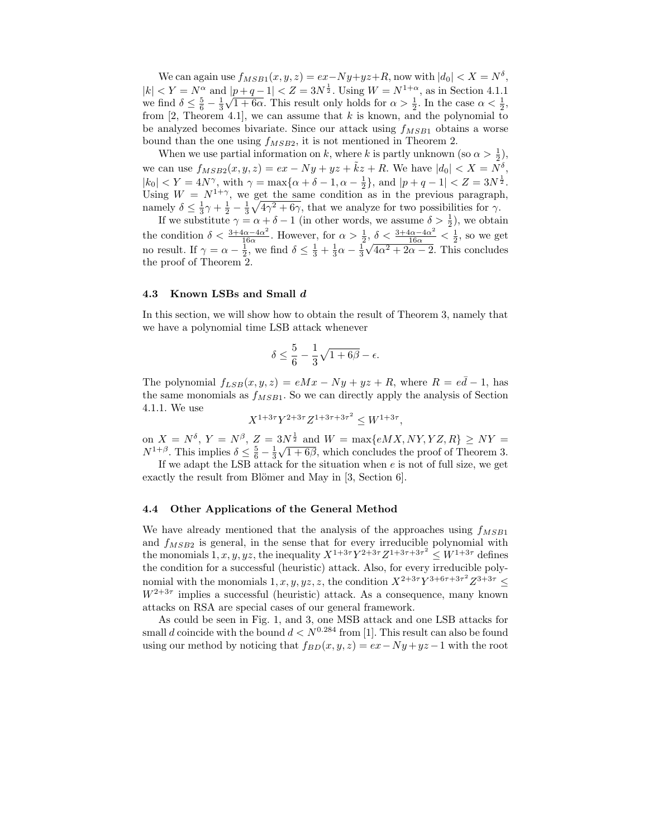We can again use  $f_{MSB1}(x, y, z) = ex-Ny+yz+R$ , now with  $|d_0| < X = N^{\delta}$ ,  $|k| < Y = N^{\alpha}$  and  $|p+q-1| < Z = 3N^{\frac{1}{2}}$ . Using  $W = N^{1+\alpha}$ , as in Section 4.1.1 we find  $\delta \leq \frac{5}{6} - \frac{1}{3}\sqrt{1+6\alpha}$ . This result only holds for  $\alpha > \frac{1}{2}$ . In the case  $\alpha < \frac{1}{2}$ , from  $[2,$  Theorem 4.1], we can assume that k is known, and the polynomial to be analyzed becomes bivariate. Since our attack using  $f_{MSB1}$  obtains a worse bound than the one using  $f_{MSB2}$ , it is not mentioned in Theorem 2.

When we use partial information on k, where k is partly unknown (so  $\alpha > \frac{1}{2}$ ), we can use  $f_{MSB2}(x, y, z) = ex - Ny + yz + \tilde{k}z + R$ . We have  $|d_0| < X = N^{\delta}$ ,  $|k_0| < Y = 4N^{\gamma}$ , with  $\gamma = \max\{\alpha + \delta - 1, \alpha - \frac{1}{2}\}\$ , and  $|p + q - 1| < Z = 3N^{\frac{1}{2}}$ . Using  $W = N^{1+\gamma}$ , we get the same condition as in the previous paragraph, namely  $\delta \leq \frac{1}{3}\gamma + \frac{1}{2} - \frac{1}{3}\sqrt{4\gamma^2 + 6\gamma}$ , that we analyze for two possibilities for  $\gamma$ .

If we substitute  $\gamma = \alpha + \delta - 1$  (in other words, we assume  $\delta > \frac{1}{2}$ ), we obtain the condition  $\delta < \frac{3+4\alpha-4\alpha^2}{16\alpha}$  $\frac{1\alpha-4\alpha^2}{16\alpha}$ . However, for  $\alpha > \frac{1}{2}$ ,  $\delta < \frac{3+4\alpha-4\alpha^2}{16\alpha} < \frac{1}{2}$ , so we get no result. If  $\gamma = \alpha - \frac{1}{2}$ , we find  $\delta \le \frac{1}{3} + \frac{1}{3}\alpha - \frac{1}{3}\sqrt{4\alpha^2 + 2\alpha - 2}$ . This concludes the proof of Theorem 2.

#### 4.3 Known LSBs and Small d

In this section, we will show how to obtain the result of Theorem 3, namely that we have a polynomial time LSB attack whenever

$$
\delta \le \frac{5}{6} - \frac{1}{3}\sqrt{1+6\beta} - \epsilon.
$$

The polynomial  $f_{LSB}(x, y, z) = eMx - Ny + yz + R$ , where  $R = e\overline{d} - 1$ , has the same monomials as  $f_{MSB1}$ . So we can directly apply the analysis of Section 4.1.1. We use

$$
X^{1+3\tau}Y^{2+3\tau}Z^{1+3\tau+3\tau^2} \le W^{1+3\tau},
$$

on  $X = N^{\delta}$ ,  $Y = N^{\beta}$ ,  $Z = 3N^{\frac{1}{2}}$  and  $W = \max\{eMX, NY, YZ, R\} \geq NY =$  $N^{1+\beta}$ . This implies  $\delta \leq \frac{5}{6} - \frac{1}{3}\sqrt{1+6\beta}$ , which concludes the proof of Theorem 3.

If we adapt the LSB attack for the situation when  $e$  is not of full size, we get exactly the result from Blömer and May in  $[3, Section 6].$ 

#### 4.4 Other Applications of the General Method

We have already mentioned that the analysis of the approaches using  $f_{MSB1}$ and  $f_{MSB2}$  is general, in the sense that for every irreducible polynomial with the monomials  $1, x, y, yz$ , the inequality  $X^{1+3\tau}Y^{2+3\tau}Z^{1+3\tau+3\tau^2} \leq W^{1+3\tau}$  defines the condition for a successful (heuristic) attack. Also, for every irreducible polynomial with the monomials  $1, x, y, yz, z$ , the condition  $X^{2+3\tau}Y^{3+6\tau+3\tau^2}Z^{3+3\tau} \leq$  $W^{2+3\tau}$  implies a successful (heuristic) attack. As a consequence, many known attacks on RSA are special cases of our general framework.

As could be seen in Fig. 1, and 3, one MSB attack and one LSB attacks for small d coincide with the bound  $d < N^{0.284}$  from [1]. This result can also be found using our method by noticing that  $f_{BD}(x, y, z) = ex - Ny + yz - 1$  with the root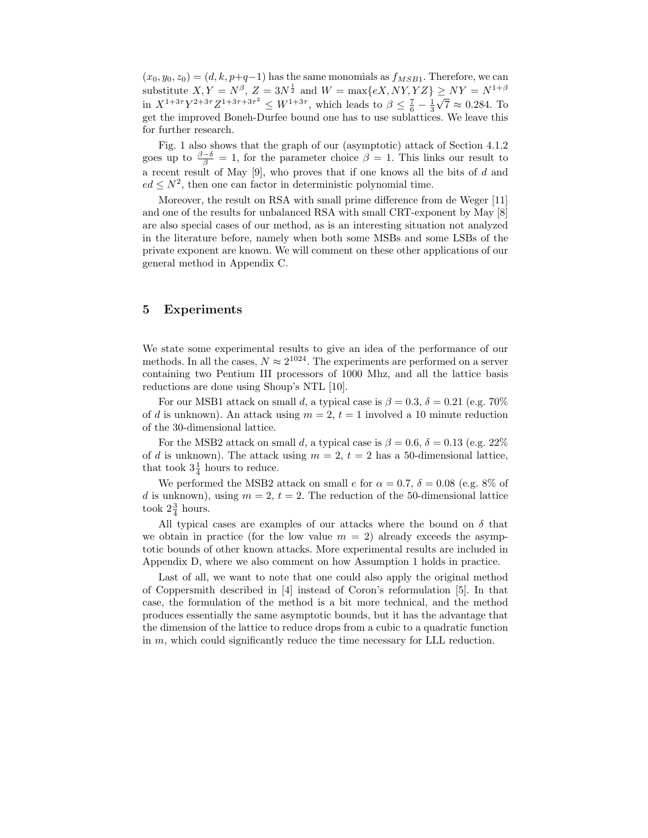$(x_0, y_0, z_0) = (d, k, p+q-1)$  has the same monomials as  $f_{MSB1}$ . Therefore, we can substitute  $X, Y = N^{\beta}, Z = 3N^{\frac{1}{2}}$  and  $W = \max\{eX, NY, YZ\} \geq NY = N^{1+\beta}$ in  $X^{1+3\tau}Y^{2+3\tau}Z^{1+3\tau+3\tau^2} \leq W^{1+3\tau}$ , which leads to  $\beta \leq \frac{7}{6} - \frac{1}{3}\sqrt{7} \approx 0.284$ . To get the improved Boneh-Durfee bound one has to use sublattices. We leave this for further research.

Fig. 1 also shows that the graph of our (asymptotic) attack of Section 4.1.2 goes up to  $\frac{\beta-\delta}{\beta}=1$ , for the parameter choice  $\beta=1$ . This links our result to a recent result of May  $[9]$ , who proves that if one knows all the bits of d and  $ed \leq N^2$ , then one can factor in deterministic polynomial time.

Moreover, the result on RSA with small prime difference from de Weger [11] and one of the results for unbalanced RSA with small CRT-exponent by May [8] are also special cases of our method, as is an interesting situation not analyzed in the literature before, namely when both some MSBs and some LSBs of the private exponent are known. We will comment on these other applications of our general method in Appendix C.

## 5 Experiments

We state some experimental results to give an idea of the performance of our methods. In all the cases,  $N \approx 2^{1024}$ . The experiments are performed on a server containing two Pentium III processors of 1000 Mhz, and all the lattice basis reductions are done using Shoup's NTL [10].

For our MSB1 attack on small d, a typical case is  $\beta = 0.3$ ,  $\delta = 0.21$  (e.g. 70%) of d is unknown). An attack using  $m = 2$ ,  $t = 1$  involved a 10 minute reduction of the 30-dimensional lattice.

For the MSB2 attack on small d, a typical case is  $\beta = 0.6$ ,  $\delta = 0.13$  (e.g. 22%) of d is unknown). The attack using  $m = 2$ ,  $t = 2$  has a 50-dimensional lattice, that took  $3\frac{1}{4}$  hours to reduce.

We performed the MSB2 attack on small e for  $\alpha = 0.7$ ,  $\delta = 0.08$  (e.g. 8% of d is unknown), using  $m = 2$ ,  $t = 2$ . The reduction of the 50-dimensional lattice took  $2\frac{3}{4}$  hours.

All typical cases are examples of our attacks where the bound on  $\delta$  that we obtain in practice (for the low value  $m = 2$ ) already exceeds the asymptotic bounds of other known attacks. More experimental results are included in Appendix D, where we also comment on how Assumption 1 holds in practice.

Last of all, we want to note that one could also apply the original method of Coppersmith described in [4] instead of Coron's reformulation [5]. In that case, the formulation of the method is a bit more technical, and the method produces essentially the same asymptotic bounds, but it has the advantage that the dimension of the lattice to reduce drops from a cubic to a quadratic function in m, which could significantly reduce the time necessary for LLL reduction.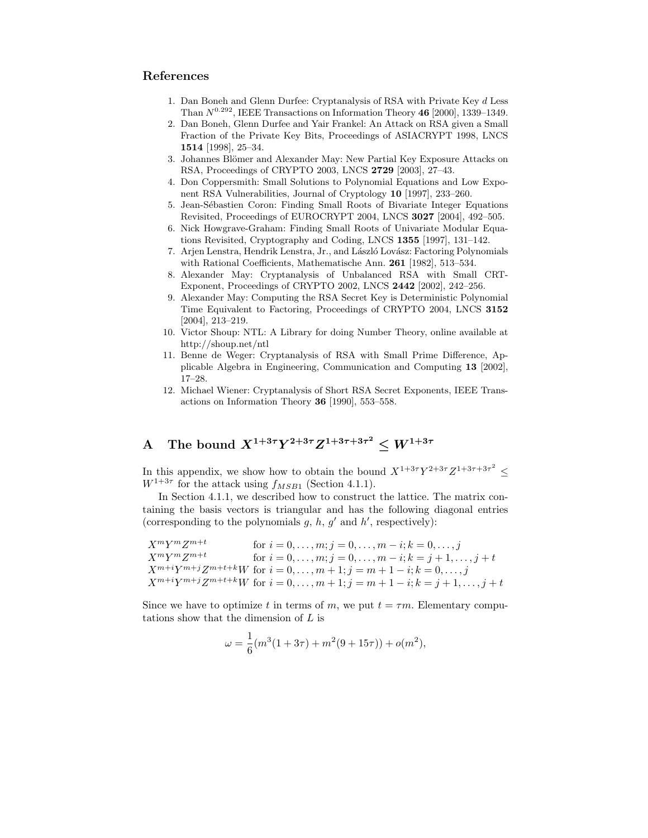# References

- 1. Dan Boneh and Glenn Durfee: Cryptanalysis of RSA with Private Key d Less Than  $N^{0.292}$ , IEEE Transactions on Information Theory 46 [2000], 1339-1349.
- 2. Dan Boneh, Glenn Durfee and Yair Frankel: An Attack on RSA given a Small Fraction of the Private Key Bits, Proceedings of ASIACRYPT 1998, LNCS 1514 [1998], 25–34.
- 3. Johannes Blömer and Alexander May: New Partial Key Exposure Attacks on RSA, Proceedings of CRYPTO 2003, LNCS 2729 [2003], 27–43.
- 4. Don Coppersmith: Small Solutions to Polynomial Equations and Low Exponent RSA Vulnerabilities, Journal of Cryptology 10 [1997], 233–260.
- 5. Jean-Sébastien Coron: Finding Small Roots of Bivariate Integer Equations Revisited, Proceedings of EUROCRYPT 2004, LNCS 3027 [2004], 492–505.
- 6. Nick Howgrave-Graham: Finding Small Roots of Univariate Modular Equations Revisited, Cryptography and Coding, LNCS 1355 [1997], 131–142.
- 7. Arjen Lenstra, Hendrik Lenstra, Jr., and László Lovász: Factoring Polynomials with Rational Coefficients, Mathematische Ann. 261 [1982], 513–534.
- 8. Alexander May: Cryptanalysis of Unbalanced RSA with Small CRT-Exponent, Proceedings of CRYPTO 2002, LNCS 2442 [2002], 242–256.
- 9. Alexander May: Computing the RSA Secret Key is Deterministic Polynomial Time Equivalent to Factoring, Proceedings of CRYPTO 2004, LNCS 3152 [2004], 213–219.
- 10. Victor Shoup: NTL: A Library for doing Number Theory, online available at http://shoup.net/ntl
- 11. Benne de Weger: Cryptanalysis of RSA with Small Prime Difference, Applicable Algebra in Engineering, Communication and Computing 13 [2002], 17–28.
- 12. Michael Wiener: Cryptanalysis of Short RSA Secret Exponents, IEEE Transactions on Information Theory 36 [1990], 553–558.

# A The bound  $X^{1+3\tau}Y^{2+3\tau}Z^{1+3\tau+3\tau^2} \leq W^{1+3\tau}$

In this appendix, we show how to obtain the bound  $X^{1+3\tau}Y^{2+3\tau}Z^{1+3\tau+3\tau^2} \le$  $W^{1+3\tau}$  for the attack using  $f_{MSB1}$  (Section 4.1.1).

In Section 4.1.1, we described how to construct the lattice. The matrix containing the basis vectors is triangular and has the following diagonal entries (corresponding to the polynomials  $g, h, g'$  and  $h'$ , respectively):

```
X^m Y^m Z^{m+t}for i = 0, \ldots, m; j = 0, \ldots, m - i; k = 0, \ldots, jX^m Y^m Z^{m+t}for i = 0, \ldots, m; j = 0, \ldots, m - i; k = j + 1, \ldots, j + tX^{m+i}Y^{m+j}Z^{m+t+k}W for i = 0, ..., m+1; j = m+1-i; k = 0, ..., jX^{m+i}Y^{m+j}Z^{m+t+k}W for i = 0, \ldots, m+1; j = m+1-i; k = j+1, \ldots, j+t
```
Since we have to optimize t in terms of m, we put  $t = \tau m$ . Elementary computations show that the dimension of L is

$$
\omega = \frac{1}{6}(m^3(1+3\tau) + m^2(9+15\tau)) + o(m^2),
$$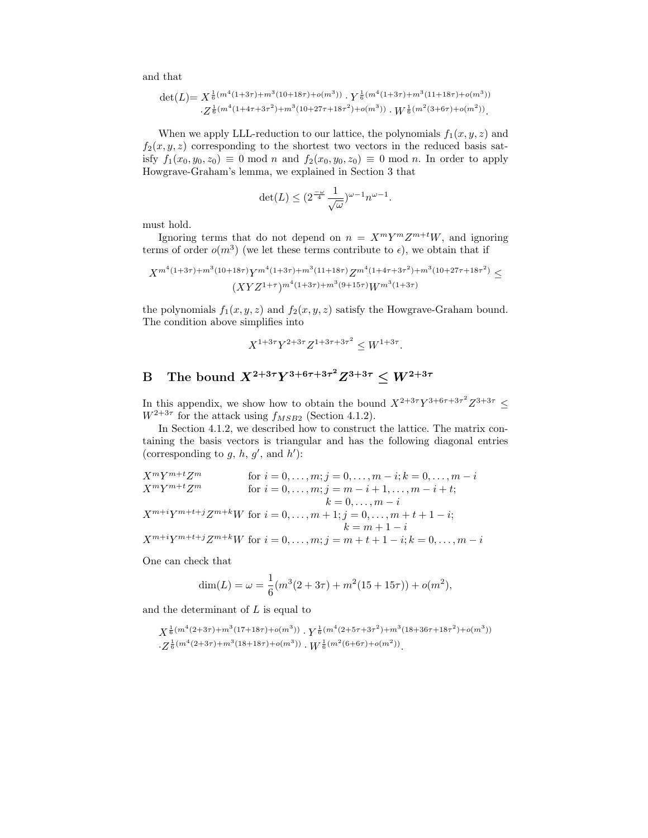and that

$$
\det(L) = X^{\frac{1}{6}(m^4(1+3\tau)+m^3(10+18\tau)+o(m^3))} \cdot Y^{\frac{1}{6}(m^4(1+3\tau)+m^3(11+18\tau)+o(m^3))} \cdot Z^{\frac{1}{6}(m^4(1+4\tau+3\tau^2)+m^3(10+27\tau+18\tau^2)+o(m^3))} \cdot W^{\frac{1}{6}(m^2(3+6\tau)+o(m^2))}.
$$

When we apply LLL-reduction to our lattice, the polynomials  $f_1(x, y, z)$  and  $f_2(x, y, z)$  corresponding to the shortest two vectors in the reduced basis satisfy  $f_1(x_0, y_0, z_0) \equiv 0 \mod n$  and  $f_2(x_0, y_0, z_0) \equiv 0 \mod n$ . In order to apply Howgrave-Graham's lemma, we explained in Section 3 that

$$
\det(L) \leq (2^{\frac{-\omega}{4}} \frac{1}{\sqrt{\omega}})^{\omega - 1} n^{\omega - 1}.
$$

must hold.

Ignoring terms that do not depend on  $n = X^m Y^m Z^{m+t} W$ , and ignoring terms of order  $o(m^3)$  (we let these terms contribute to  $\epsilon$ ), we obtain that if

$$
X^{m^4(1+3\tau)+m^3(10+18\tau)}Y^{m^4(1+3\tau)+m^3(11+18\tau)}Z^{m^4(1+4\tau+3\tau^2)+m^3(10+27\tau+18\tau^2)}\leq (XYZ^{1+\tau})^{m^4(1+3\tau)+m^3(9+15\tau)}W^{m^3(1+3\tau)}
$$

the polynomials  $f_1(x, y, z)$  and  $f_2(x, y, z)$  satisfy the Howgrave-Graham bound. The condition above simplifies into

$$
X^{1+3\tau}Y^{2+3\tau}Z^{1+3\tau+3\tau^2} \le W^{1+3\tau}.
$$

# B The bound  $X^{2+3\tau}Y^{3+6\tau+3\tau^2}Z^{3+3\tau} \leq W^{2+3\tau}$

In this appendix, we show how to obtain the bound  $X^{2+3\tau}Y^{3+6\tau+3\tau^2}Z^{3+3\tau} \leq$  $W^{2+3\tau}$  for the attack using  $f_{MSB2}$  (Section 4.1.2).

In Section 4.1.2, we described how to construct the lattice. The matrix containing the basis vectors is triangular and has the following diagonal entries (corresponding to  $g, h, g'$ , and  $h'$ ):

$$
X^{m}Y^{m+t}Z^{m}
$$
 for  $i = 0,..., m; j = 0,..., m - i; k = 0,..., m - i$   
\n
$$
X^{m}Y^{m+t}Z^{m}
$$
 for  $i = 0,..., m; j = m - i + 1,..., m - i + t;$   
\n
$$
k = 0,..., m - i
$$
  
\n
$$
X^{m+i}Y^{m+t+j}Z^{m+k}W
$$
 for  $i = 0,..., m + 1; j = 0,..., m + t + 1 - i;$   
\n
$$
k = m + 1 - i
$$
  
\n
$$
X^{m+i}Y^{m+t+j}Z^{m+k}W
$$
 for  $i = 0,..., m; j = m + t + 1 - i; k = 0,..., m - i$ 

One can check that

$$
\dim(L) = \omega = \frac{1}{6}(m^3(2+3\tau) + m^2(15+15\tau)) + o(m^2),
$$

and the determinant of  $L$  is equal to

 $X^{\frac{1}{6}(m^4(2+3\tau)+m^3(17+18\tau)+o(m^3))} \cdot Y^{\frac{1}{6}(m^4(2+5\tau+3\tau^2)+m^3(18+36\tau+18\tau^2)+o(m^3))}$  $\cdot Z^{\frac{1}{6}(m^4(2+3\tau)+m^3(18+18\tau)+o(m^3))} \cdot W^{\frac{1}{6}(m^2(6+6\tau)+o(m^2))}.$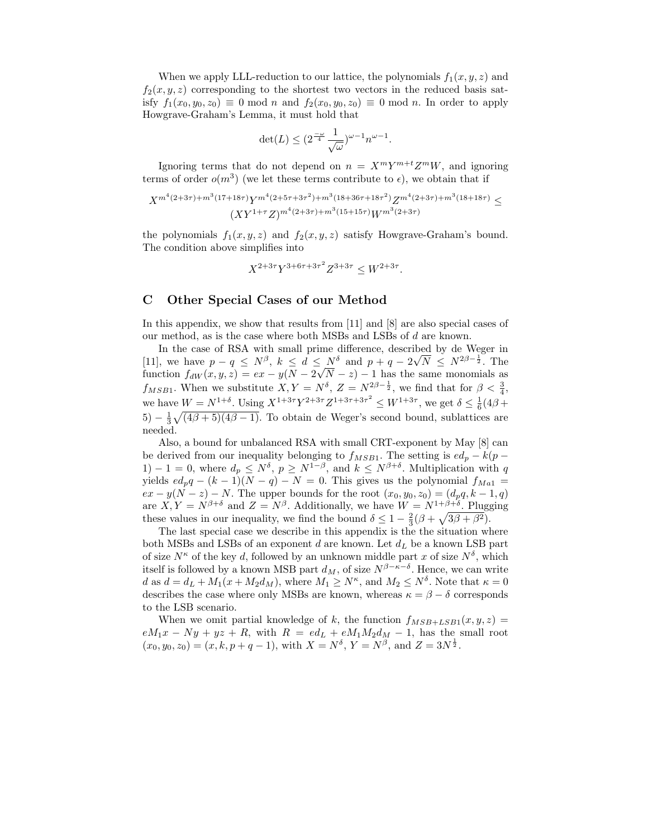When we apply LLL-reduction to our lattice, the polynomials  $f_1(x, y, z)$  and  $f_2(x, y, z)$  corresponding to the shortest two vectors in the reduced basis satisfy  $f_1(x_0, y_0, z_0) \equiv 0 \mod n$  and  $f_2(x_0, y_0, z_0) \equiv 0 \mod n$ . In order to apply Howgrave-Graham's Lemma, it must hold that

$$
\det(L) \le (2^{\frac{-\omega}{4}} \frac{1}{\sqrt{\omega}})^{\omega - 1} n^{\omega - 1}
$$

.

Ignoring terms that do not depend on  $n = X^m Y^{m+t} Z^m W$ , and ignoring terms of order  $o(m^3)$  (we let these terms contribute to  $\epsilon$ ), we obtain that if

$$
X^{m^4(2+3\tau)+m^3(17+18\tau)}Y^{m^4(2+5\tau+3\tau^2)+m^3(18+36\tau+18\tau^2)}Z^{m^4(2+3\tau)+m^3(18+18\tau)} \leq (XY^{1+\tau}Z)^{m^4(2+3\tau)+m^3(15+15\tau)}W^{m^3(2+3\tau)}
$$

the polynomials  $f_1(x, y, z)$  and  $f_2(x, y, z)$  satisfy Howgrave-Graham's bound. The condition above simplifies into

$$
X^{2+3\tau}Y^{3+6\tau+3\tau^2}Z^{3+3\tau} \le W^{2+3\tau}.
$$

## C Other Special Cases of our Method

In this appendix, we show that results from [11] and [8] are also special cases of our method, as is the case where both MSBs and LSBs of d are known.

In the case of RSA with small prime difference, described by de Weger in [11], we have  $p - q \le N^{\beta}$ ,  $k \le d \le N^{\delta}$  and  $p + q - 2\sqrt{N} \le N^{2\beta - \frac{1}{2}}$ . The function  $f_{dW}(x, y, z) = ex - y(N - 2\sqrt{N} - z) - 1$  has the same monomials as  $f_{MSB1}$ . When we substitute  $X, Y = N^{\delta}, Z = N^{2\beta - \frac{1}{2}},$  we find that for  $\beta < \frac{3}{4}$ , we have  $W = N^{1+\delta}$ . Using  $X^{1+3\tau}Y^{2+3\tau}Z^{1+3\tau+3\tau^2} \le W^{1+3\tau}$ , we get  $\delta \le \frac{1}{6}(4\beta +$  $(5) - \frac{1}{3}\sqrt{(4\beta + 5)(4\beta - 1)}$ . To obtain de Weger's second bound, sublattices are needed.

Also, a bound for unbalanced RSA with small CRT-exponent by May [8] can be derived from our inequality belonging to  $f_{MSB1}$ . The setting is  $ed_p - k(p -$ 1) − 1 = 0, where  $d_p \leq N^{\delta}$ ,  $p \geq N^{1-\beta}$ , and  $k \leq N^{\beta+\delta}$ . Multiplication with q yields  $ed_p q - (k-1)(N-q) - N = 0$ . This gives us the polynomial  $f_{Ma1} =$  $ex - y(\hat{N} - z) - N$ . The upper bounds for the root  $(x_0, y_0, z_0) = (d_p q, k - 1, q)$ are  $X, Y = N^{\beta+\delta}$  and  $Z = N^{\beta}$ . Additionally, we have  $W = N^{1+\beta+\delta}$ . Plugging these values in our inequality, we find the bound  $\delta \leq 1 - \frac{2}{3}(\beta + \sqrt{3\beta + \beta^2}).$ 

The last special case we describe in this appendix is the the situation where both MSBs and LSBs of an exponent d are known. Let  $d<sub>L</sub>$  be a known LSB part of size  $N^{\kappa}$  of the key d, followed by an unknown middle part x of size  $N^{\delta}$ , which itself is followed by a known MSB part  $d_M$ , of size  $N^{\beta - \kappa - \delta}$ . Hence, we can write d as  $d = d_L + M_1(x + M_2d_M)$ , where  $M_1 \geq N^{\kappa}$ , and  $M_2 \leq N^{\delta}$ . Note that  $\kappa = 0$ describes the case where only MSBs are known, whereas  $\kappa = \beta - \delta$  corresponds to the LSB scenario.

When we omit partial knowledge of k, the function  $f_{MSB+LSB1}(x, y, z) =$  $eM_1x - Ny + yz + R$ , with  $R = ed_L + eM_1M_2d_M - 1$ , has the small root  $(x_0, y_0, z_0) = (x, k, p + q - 1)$ , with  $X = N^{\delta}$ ,  $Y = N^{\beta}$ , and  $Z = 3N^{\frac{1}{2}}$ .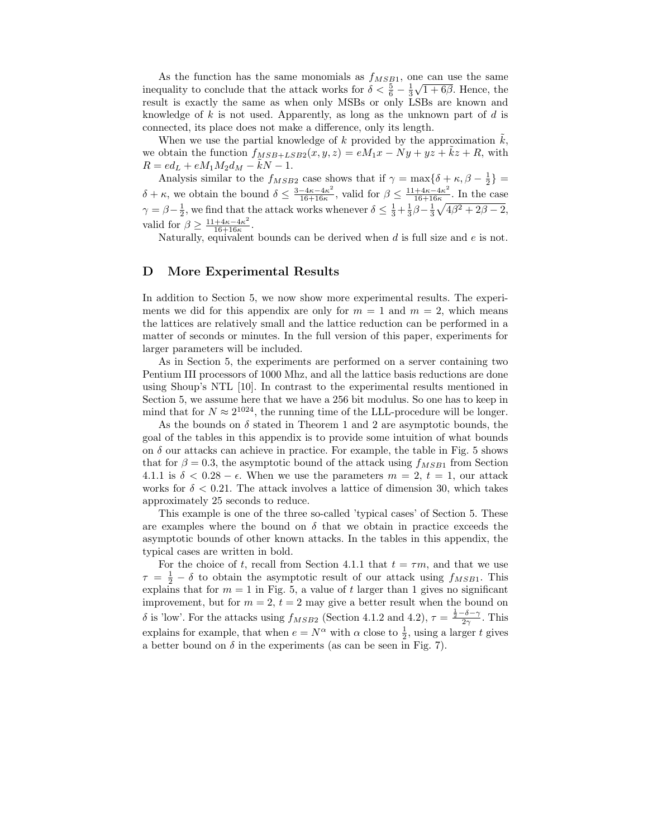As the function has the same monomials as  $f_{MSB1}$ , one can use the same inequality to conclude that the attack works for  $\delta < \frac{5}{6} - \frac{1}{3}\sqrt{1+6\beta}$ . Hence, the result is exactly the same as when only MSBs or only LSBs are known and knowledge of k is not used. Apparently, as long as the unknown part of d is connected, its place does not make a difference, only its length.

When we use the partial knowledge of  $k$  provided by the approximation  $k$ , we obtain the function  $f_{MSB+LSB2}(x, y, z) = eM_1x - Ny + yz + kz + R$ , with  $R = ed_L + eM_1M_2d_M - kN - 1.$ 

Analysis similar to the  $f_{MSB2}$  case shows that if  $\gamma = \max\{\delta + \kappa, \beta - \frac{1}{2}\}$ 2  $\delta + \kappa$ , we obtain the bound  $\delta \leq \frac{3 - 4\kappa - 4\kappa^2}{16 + 16\kappa}$  $\frac{-4\kappa-4\kappa^2}{16+16\kappa}$ , valid for  $\beta \leq \frac{11+4\kappa-4\kappa^2}{16+16\kappa}$  $\frac{+4\kappa-4\kappa^2}{16+16\kappa}$ . In the case  $\gamma = \beta - \frac{1}{2}$ , we find that the attack works whenever  $\delta \leq \frac{1}{3} + \frac{1}{3}\beta - \frac{1}{3}\sqrt{4\beta^2 + 2\beta - 2}$ , valid for  $\beta \geq \frac{11+4\kappa-4\kappa^2}{16+16\kappa}$  $\frac{+4\kappa-4\kappa^2}{16+16\kappa}.$ 

Naturally, equivalent bounds can be derived when  $d$  is full size and  $e$  is not.

### D More Experimental Results

In addition to Section 5, we now show more experimental results. The experiments we did for this appendix are only for  $m = 1$  and  $m = 2$ , which means the lattices are relatively small and the lattice reduction can be performed in a matter of seconds or minutes. In the full version of this paper, experiments for larger parameters will be included.

As in Section 5, the experiments are performed on a server containing two Pentium III processors of 1000 Mhz, and all the lattice basis reductions are done using Shoup's NTL [10]. In contrast to the experimental results mentioned in Section 5, we assume here that we have a 256 bit modulus. So one has to keep in mind that for  $N \approx 2^{1024}$ , the running time of the LLL-procedure will be longer.

As the bounds on  $\delta$  stated in Theorem 1 and 2 are asymptotic bounds, the goal of the tables in this appendix is to provide some intuition of what bounds on  $\delta$  our attacks can achieve in practice. For example, the table in Fig. 5 shows that for  $\beta = 0.3$ , the asymptotic bound of the attack using  $f_{MSB1}$  from Section 4.1.1 is  $\delta < 0.28 - \epsilon$ . When we use the parameters  $m = 2, t = 1$ , our attack works for  $\delta < 0.21$ . The attack involves a lattice of dimension 30, which takes approximately 25 seconds to reduce.

This example is one of the three so-called 'typical cases' of Section 5. These are examples where the bound on  $\delta$  that we obtain in practice exceeds the asymptotic bounds of other known attacks. In the tables in this appendix, the typical cases are written in bold.

For the choice of t, recall from Section 4.1.1 that  $t = \tau m$ , and that we use  $\tau = \frac{1}{2} - \delta$  to obtain the asymptotic result of our attack using  $f_{MSB1}$ . This explains that for  $m = 1$  in Fig. 5, a value of t larger than 1 gives no significant improvement, but for  $m = 2$ ,  $t = 2$  may give a better result when the bound on δ is 'low'. For the attacks using  $f_{MSB2}$  (Section 4.1.2 and 4.2),  $\tau = \frac{\frac{1}{2} - \delta - \gamma}{2\gamma}$ . This explains for example, that when  $e = N^{\alpha}$  with  $\alpha$  close to  $\frac{1}{2}$ , using a larger t gives a better bound on  $\delta$  in the experiments (as can be seen in Fig. 7).